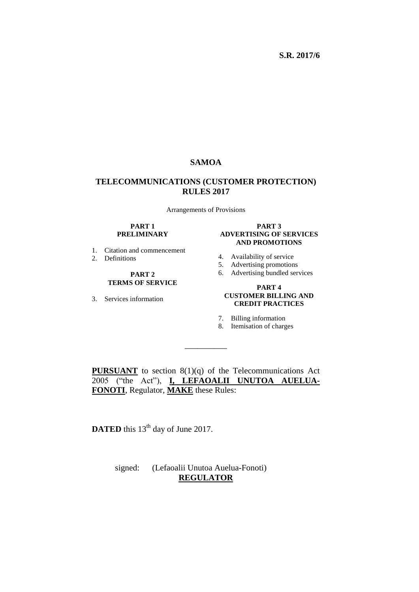### **SAMOA**

### **TELECOMMUNICATIONS (CUSTOMER PROTECTION) RULES 2017**

Arrangements of Provisions

#### **PART 1 PRELIMINARY**

- 1. Citation and commencement
- 2. Definitions

#### **PART 2 TERMS OF SERVICE**

3. Services information

#### **PART 3 ADVERTISING OF SERVICES AND PROMOTIONS**

- 4. Availability of service
- 5. Advertising promotions
- 6. Advertising bundled services

#### **PART 4 CUSTOMER BILLING AND CREDIT PRACTICES**

- 7. Billing information
- 8. Itemisation of charges

**PURSUANT** to section 8(1)(q) of the Telecommunications Act 2005 ("the Act"), **I, LEFAOALII UNUTOA AUELUA-FONOTI**, Regulator, **MAKE** these Rules:

\_\_\_\_\_\_\_\_\_\_

**DATED** this  $13<sup>th</sup>$  day of June 2017.

 signed: (Lefaoalii Unutoa Auelua-Fonoti) **REGULATOR**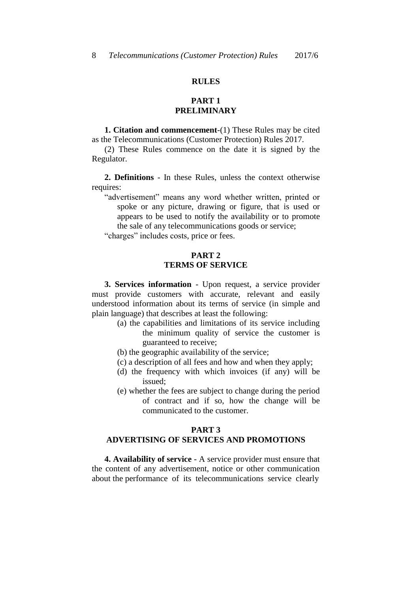### **RULES**

### **PART 1 PRELIMINARY**

**1. Citation and commencement**-(1) These Rules may be cited as the Telecommunications (Customer Protection) Rules 2017.

(2) These Rules commence on the date it is signed by the Regulator.

**2. Definitions** - In these Rules, unless the context otherwise requires:

"advertisement" means any word whether written, printed or spoke or any picture, drawing or figure, that is used or appears to be used to notify the availability or to promote the sale of any telecommunications goods or service;

"charges" includes costs, price or fees.

#### **PART 2 TERMS OF SERVICE**

**3. Services information** - Upon request, a service provider must provide customers with accurate, relevant and easily understood information about its terms of service (in simple and plain language) that describes at least the following:

- (a) the capabilities and limitations of its service including the minimum quality of service the customer is guaranteed to receive;
- (b) the geographic availability of the service;
- (c) a description of all fees and how and when they apply;
- (d) the frequency with which invoices (if any) will be issued;
- (e) whether the fees are subject to change during the period of contract and if so, how the change will be communicated to the customer.

# **PART 3**

## **ADVERTISING OF SERVICES AND PROMOTIONS**

**4. Availability of service** - A service provider must ensure that the content of any advertisement, notice or other communication about the performance of its telecommunications service clearly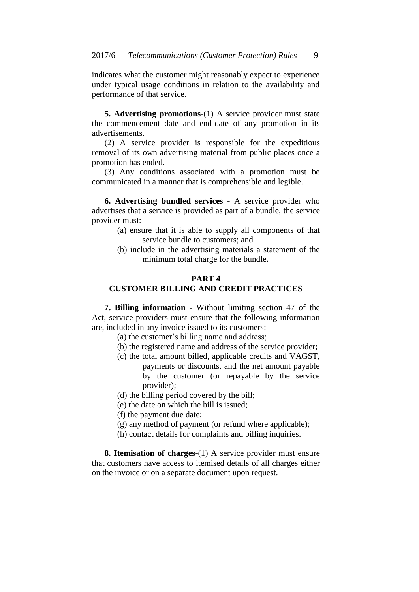indicates what the customer might reasonably expect to experience under typical usage conditions in relation to the availability and performance of that service.

**5. Advertising promotions**-(1) A service provider must state the commencement date and end-date of any promotion in its advertisements.

(2) A service provider is responsible for the expeditious removal of its own advertising material from public places once a promotion has ended.

(3) Any conditions associated with a promotion must be communicated in a manner that is comprehensible and legible.

**6. Advertising bundled services** - A service provider who advertises that a service is provided as part of a bundle, the service provider must:

- (a) ensure that it is able to supply all components of that service bundle to customers; and
- (b) include in the advertising materials a statement of the minimum total charge for the bundle.

#### **PART 4**

### **CUSTOMER BILLING AND CREDIT PRACTICES**

**7. Billing information** - Without limiting section 47 of the Act, service providers must ensure that the following information are, included in any invoice issued to its customers:

- (a) the customer's billing name and address;
- (b) the registered name and address of the service provider;
- (c) the total amount billed, applicable credits and VAGST, payments or discounts, and the net amount payable by the customer (or repayable by the service provider);
- (d) the billing period covered by the bill;
- (e) the date on which the bill is issued;
- (f) the payment due date;
- (g) any method of payment (or refund where applicable);
- (h) contact details for complaints and billing inquiries.

**8. Itemisation of charges**-(1) A service provider must ensure that customers have access to itemised details of all charges either on the invoice or on a separate document upon request.